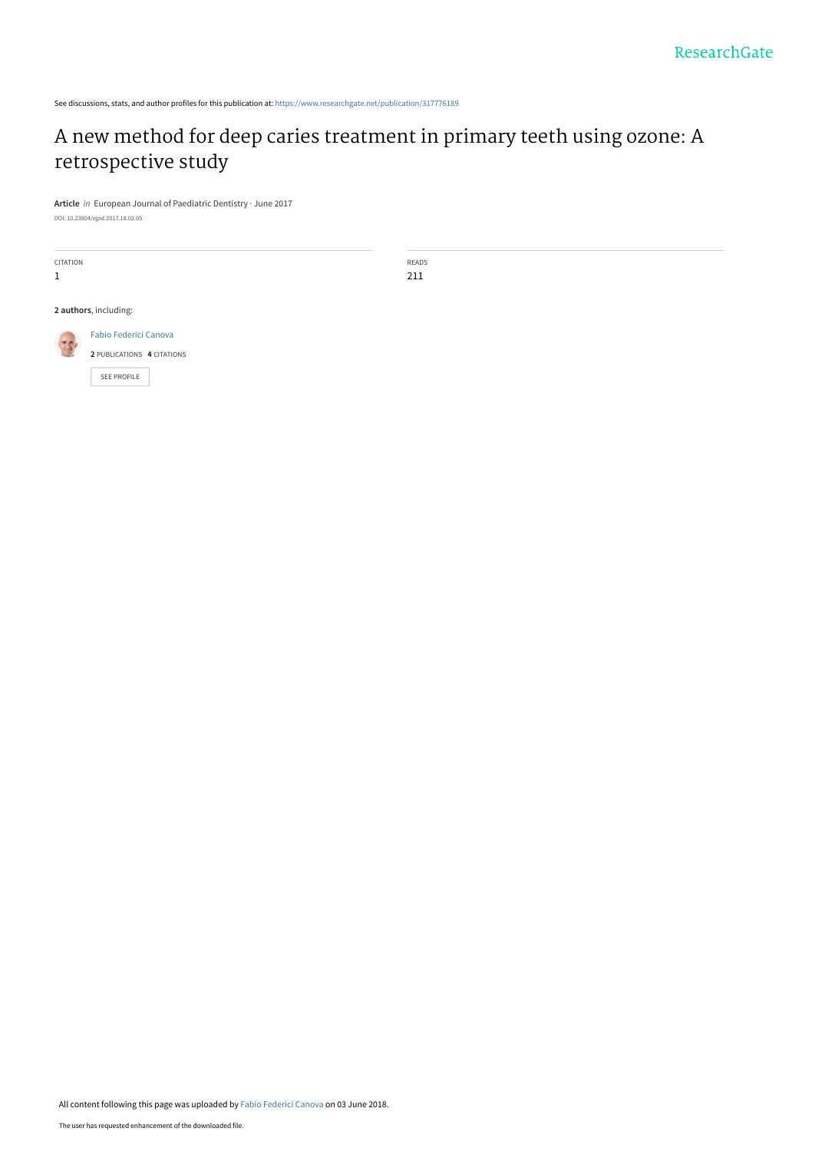See discussions, stats, and author profiles for this publication at: [https://www.researchgate.net/publication/317776189](https://www.researchgate.net/publication/317776189_A_new_method_for_deep_caries_treatment_in_primary_teeth_using_ozone_A_retrospective_study?enrichId=rgreq-00c6a78c832d7678c13d666fb532a88a-XXX&enrichSource=Y292ZXJQYWdlOzMxNzc3NjE4OTtBUzo2MzM0Mzk4MDgxNTE1NTNAMTUyODAzNTIyNzg4Ng%3D%3D&el=1_x_2&_esc=publicationCoverPdf)

# [A new method for deep caries treatment in primary teeth using ozone: A](https://www.researchgate.net/publication/317776189_A_new_method_for_deep_caries_treatment_in_primary_teeth_using_ozone_A_retrospective_study?enrichId=rgreq-00c6a78c832d7678c13d666fb532a88a-XXX&enrichSource=Y292ZXJQYWdlOzMxNzc3NjE4OTtBUzo2MzM0Mzk4MDgxNTE1NTNAMTUyODAzNTIyNzg4Ng%3D%3D&el=1_x_3&_esc=publicationCoverPdf) retrospective study

**Article** in European Journal of Paediatric Dentistry · June 2017

DOI: 10.23804/ejpd.2017.18.02.05

CITATION 1

READS 211

**2 authors**, including:

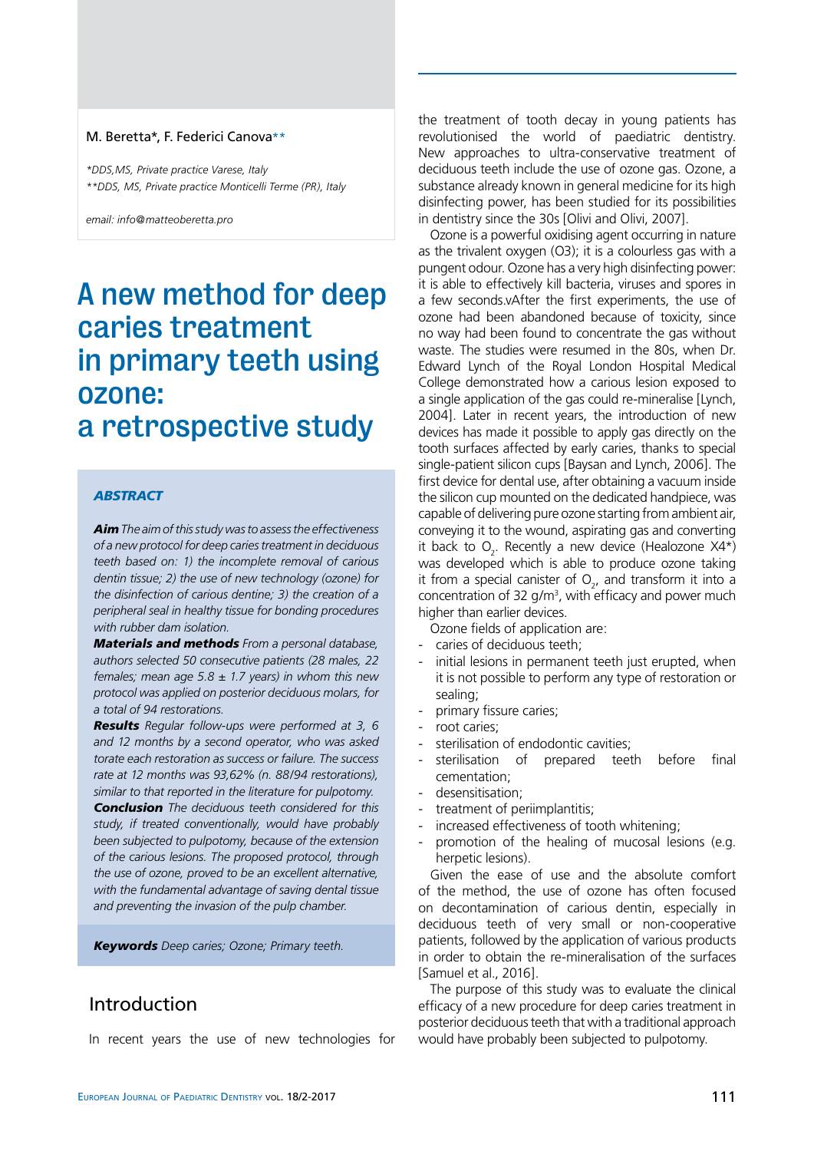#### M. Beretta\*, F. Federici Canova\*\*

*\*DDS,MS, Private practice Varese, Italy \*\*DDS, MS, Private practice Monticelli Terme (PR), Italy*

*email: info@matteoberetta.pro*

# A new method for deep caries treatment in primary teeth using ozone: a retrospective study

#### *abstract*

*Aim The aim of this study was to assess the effectiveness of a new protocol for deep caries treatment in deciduous teeth based on: 1) the incomplete removal of carious dentin tissue; 2) the use of new technology (ozone) for the disinfection of carious dentine; 3) the creation of a peripheral seal in healthy tissue for bonding procedures with rubber dam isolation.* 

*Materials and methods From a personal database, authors selected 50 consecutive patients (28 males, 22 females; mean age 5.8 ± 1.7 years) in whom this new protocol was applied on posterior deciduous molars, for a total of 94 restorations.*

*Results Regular follow-ups were performed at 3, 6 and 12 months by a second operator, who was asked torate each restoration as success or failure. The success rate at 12 months was 93,62% (n. 88/94 restorations), similar to that reported in the literature for pulpotomy.*

*Conclusion The deciduous teeth considered for this study, if treated conventionally, would have probably been subjected to pulpotomy, because of the extension of the carious lesions. The proposed protocol, through the use of ozone, proved to be an excellent alternative, with the fundamental advantage of saving dental tissue and preventing the invasion of the pulp chamber.*

*Keywords Deep caries; Ozone; Primary teeth.*

# Introduction

In recent years the use of new technologies for

the treatment of tooth decay in young patients has revolutionised the world of paediatric dentistry. New approaches to ultra-conservative treatment of deciduous teeth include the use of ozone gas. Ozone, a substance already known in general medicine for its high disinfecting power, has been studied for its possibilities in dentistry since the 30s [Olivi and Olivi, 2007].

Ozone is a powerful oxidising agent occurring in nature as the trivalent oxygen (O3); it is a colourless gas with a pungent odour. Ozone has a very high disinfecting power: it is able to effectively kill bacteria, viruses and spores in a few seconds.vAfter the first experiments, the use of ozone had been abandoned because of toxicity, since no way had been found to concentrate the gas without waste. The studies were resumed in the 80s, when Dr. Edward Lynch of the Royal London Hospital Medical College demonstrated how a carious lesion exposed to a single application of the gas could re-mineralise [Lynch, 2004]. Later in recent years, the introduction of new devices has made it possible to apply gas directly on the tooth surfaces affected by early caries, thanks to special single-patient silicon cups [Baysan and Lynch, 2006]. The first device for dental use, after obtaining a vacuum inside the silicon cup mounted on the dedicated handpiece, was capable of delivering pure ozone starting from ambient air, conveying it to the wound, aspirating gas and converting it back to  $O_2$ . Recently a new device (Healozone X4\*) was developed which is able to produce ozone taking it from a special canister of  $O_{2}$ , and transform it into a concentration of 32  $g/m<sup>3</sup>$ , with efficacy and power much higher than earlier devices.

Ozone fields of application are:

- caries of deciduous teeth;
- initial lesions in permanent teeth just erupted, when it is not possible to perform any type of restoration or sealing;
- primary fissure caries;
- root caries:
- sterilisation of endodontic cavities:
- sterilisation of prepared teeth before final cementation;
- desensitisation;
- treatment of periimplantitis;
- increased effectiveness of tooth whitening;
- promotion of the healing of mucosal lesions (e.g. herpetic lesions).

Given the ease of use and the absolute comfort of the method, the use of ozone has often focused on decontamination of carious dentin, especially in deciduous teeth of very small or non-cooperative patients, followed by the application of various products in order to obtain the re-mineralisation of the surfaces [Samuel et al., 2016].

The purpose of this study was to evaluate the clinical efficacy of a new procedure for deep caries treatment in posterior deciduous teeth that with a traditional approach would have probably been subjected to pulpotomy.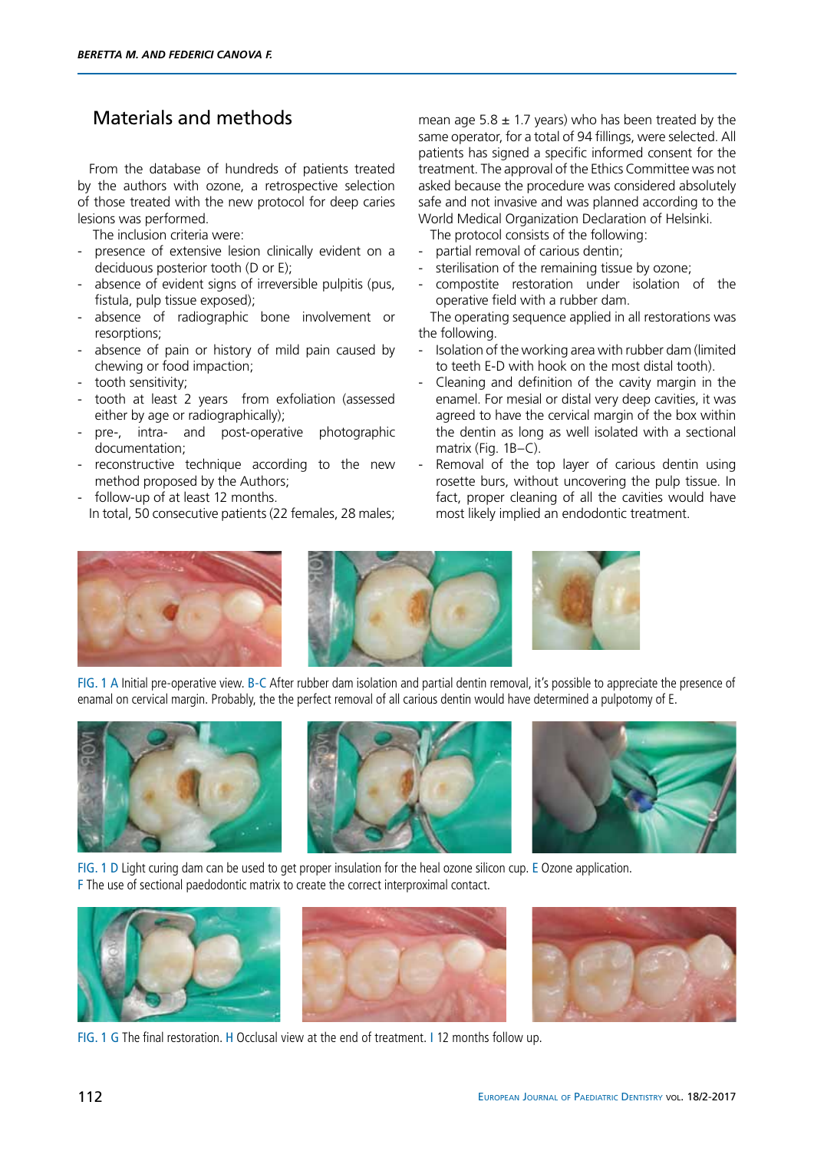# Materials and methods

From the database of hundreds of patients treated by the authors with ozone, a retrospective selection of those treated with the new protocol for deep caries lesions was performed.

The inclusion criteria were:

- presence of extensive lesion clinically evident on a deciduous posterior tooth (D or E);
- absence of evident signs of irreversible pulpitis (pus, fistula, pulp tissue exposed);
- absence of radiographic bone involvement or resorptions;
- absence of pain or history of mild pain caused by chewing or food impaction;
- tooth sensitivity;
- tooth at least 2 years from exfoliation (assessed either by age or radiographically);
- pre-, intra- and post-operative photographic documentation;
- reconstructive technique according to the new method proposed by the Authors;
- follow-up of at least 12 months. In total, 50 consecutive patients (22 females, 28 males;

mean age 5.8  $\pm$  1.7 years) who has been treated by the same operator, for a total of 94 fillings, were selected. All patients has signed a specific informed consent for the treatment. The approval of the Ethics Committee was not asked because the procedure was considered absolutely safe and not invasive and was planned according to the World Medical Organization Declaration of Helsinki.

The protocol consists of the following:

- partial removal of carious dentin;
- sterilisation of the remaining tissue by ozone;
- compostite restoration under isolation of the operative field with a rubber dam.

The operating sequence applied in all restorations was the following.

- Isolation of the working area with rubber dam (limited to teeth E-D with hook on the most distal tooth).
- Cleaning and definition of the cavity margin in the enamel. For mesial or distal very deep cavities, it was agreed to have the cervical margin of the box within the dentin as long as well isolated with a sectional matrix (Fig. 1B–C).
- Removal of the top layer of carious dentin using rosette burs, without uncovering the pulp tissue. In fact, proper cleaning of all the cavities would have most likely implied an endodontic treatment.





fig. 1 A Initial pre-operative view. B-C After rubber dam isolation and partial dentin removal, it's possible to appreciate the presence of enamal on cervical margin. Probably, the the perfect removal of all carious dentin would have determined a pulpotomy of E.







fig. 1 D Light curing dam can be used to get proper insulation for the heal ozone silicon cup. E Ozone application. F The use of sectional paedodontic matrix to create the correct interproximal contact.







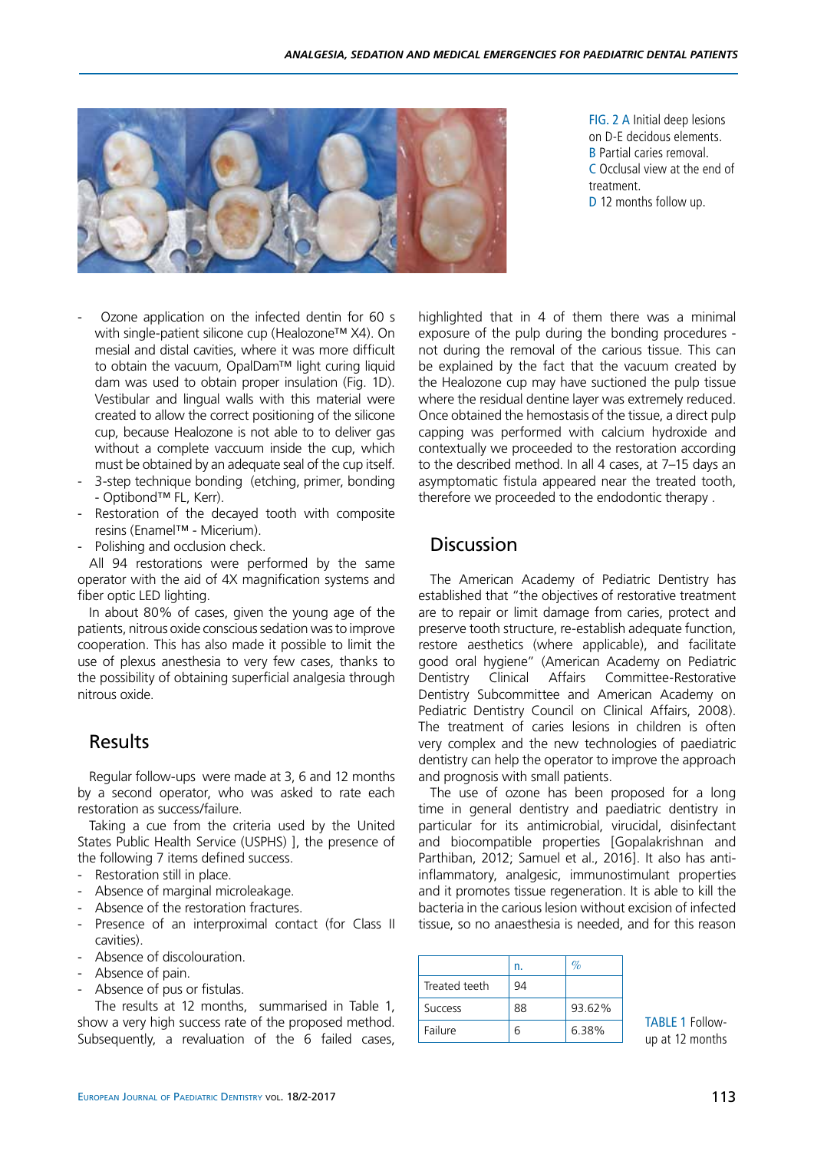

fig. 2 A Initial deep lesions on D-E decidous elements. B Partial caries removal. C Occlusal view at the end of treatment. D 12 months follow up.

- Ozone application on the infected dentin for 60 s with single-patient silicone cup (Healozone™ X4). On mesial and distal cavities, where it was more difficult to obtain the vacuum, OpalDam™ light curing liquid dam was used to obtain proper insulation (Fig. 1D). Vestibular and lingual walls with this material were created to allow the correct positioning of the silicone cup, because Healozone is not able to to deliver gas without a complete vaccuum inside the cup, which must be obtained by an adequate seal of the cup itself.
- 3-step technique bonding (etching, primer, bonding - Optibond™ FL, Kerr).
- Restoration of the decayed tooth with composite resins (Enamel™ - Micerium).
- Polishing and occlusion check.

All 94 restorations were performed by the same operator with the aid of 4X magnification systems and fiber optic LED lighting.

In about 80% of cases, given the young age of the patients, nitrous oxide conscious sedation was to improve cooperation. This has also made it possible to limit the use of plexus anesthesia to very few cases, thanks to the possibility of obtaining superficial analgesia through nitrous oxide.

# **Results**

Regular follow-ups were made at 3, 6 and 12 months by a second operator, who was asked to rate each restoration as success/failure.

Taking a cue from the criteria used by the United States Public Health Service (USPHS) ], the presence of the following 7 items defined success.

- Restoration still in place.
- Absence of marginal microleakage.
- Absence of the restoration fractures.
- Presence of an interproximal contact (for Class II cavities).
- Absence of discolouration.
- Absence of pain.
- Absence of pus or fistulas.

 The results at 12 months, summarised in Table 1, show a very high success rate of the proposed method. Subsequently, a revaluation of the 6 failed cases, highlighted that in 4 of them there was a minimal exposure of the pulp during the bonding procedures not during the removal of the carious tissue. This can be explained by the fact that the vacuum created by the Healozone cup may have suctioned the pulp tissue where the residual dentine layer was extremely reduced. Once obtained the hemostasis of the tissue, a direct pulp capping was performed with calcium hydroxide and contextually we proceeded to the restoration according to the described method. In all 4 cases, at 7–15 days an asymptomatic fistula appeared near the treated tooth, therefore we proceeded to the endodontic therapy .

### Discussion

The American Academy of Pediatric Dentistry has established that "the objectives of restorative treatment are to repair or limit damage from caries, protect and preserve tooth structure, re-establish adequate function, restore aesthetics (where applicable), and facilitate good oral hygiene" (American Academy on Pediatric Dentistry Clinical Affairs Committee-Restorative Dentistry Subcommittee and American Academy on Pediatric Dentistry Council on Clinical Affairs, 2008). The treatment of caries lesions in children is often very complex and the new technologies of paediatric dentistry can help the operator to improve the approach and prognosis with small patients.

The use of ozone has been proposed for a long time in general dentistry and paediatric dentistry in particular for its antimicrobial, virucidal, disinfectant and biocompatible properties [Gopalakrishnan and Parthiban, 2012; Samuel et al., 2016]. It also has antiinflammatory, analgesic, immunostimulant properties and it promotes tissue regeneration. It is able to kill the bacteria in the carious lesion without excision of infected tissue, so no anaesthesia is needed, and for this reason

|                | n. |        |
|----------------|----|--------|
| Treated teeth  | 94 |        |
| <b>Success</b> | 88 | 93.62% |
| Failure        | 6  | 6.38%  |

TABLE 1 Followup at 12 months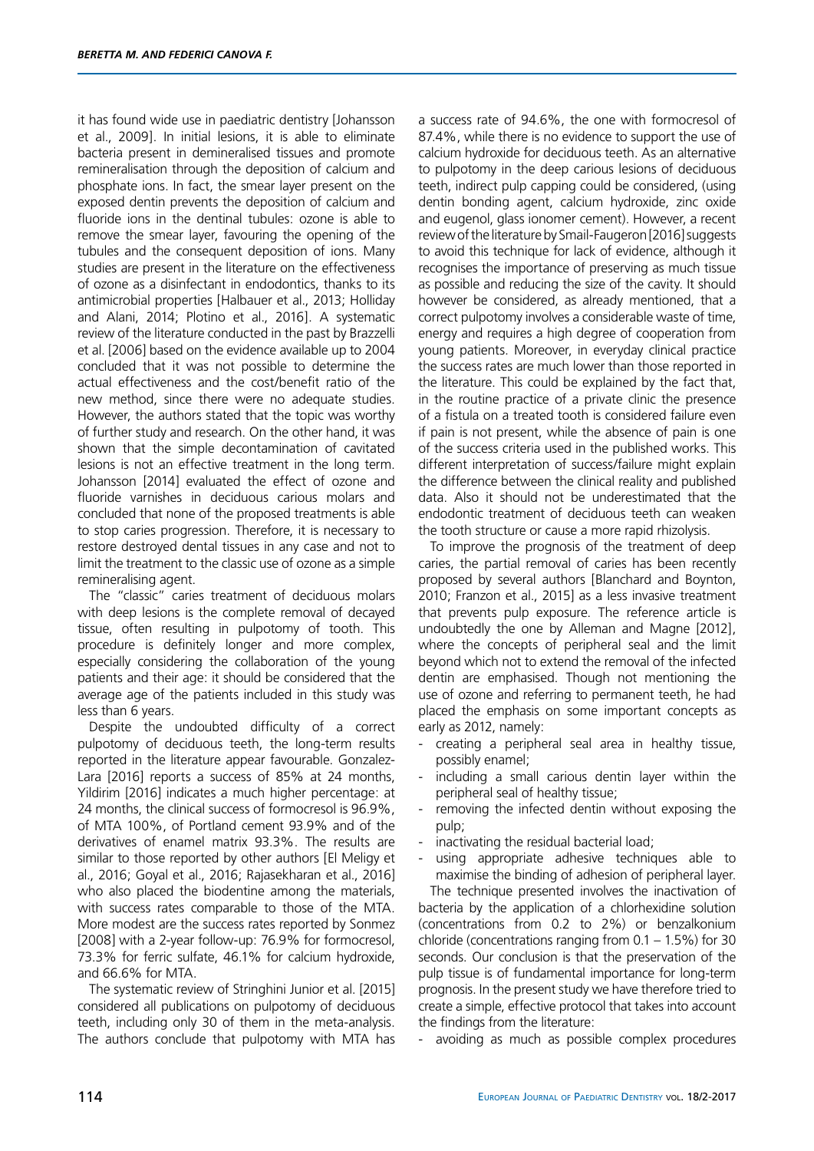it has found wide use in paediatric dentistry [Johansson et al., 2009]. In initial lesions, it is able to eliminate bacteria present in demineralised tissues and promote remineralisation through the deposition of calcium and phosphate ions. In fact, the smear layer present on the exposed dentin prevents the deposition of calcium and fluoride ions in the dentinal tubules: ozone is able to remove the smear layer, favouring the opening of the tubules and the consequent deposition of ions. Many studies are present in the literature on the effectiveness of ozone as a disinfectant in endodontics, thanks to its antimicrobial properties [Halbauer et al., 2013; Holliday and Alani, 2014; Plotino et al., 2016]. A systematic review of the literature conducted in the past by Brazzelli et al. [2006] based on the evidence available up to 2004 concluded that it was not possible to determine the actual effectiveness and the cost/benefit ratio of the new method, since there were no adequate studies. However, the authors stated that the topic was worthy of further study and research. On the other hand, it was shown that the simple decontamination of cavitated lesions is not an effective treatment in the long term. Johansson [2014] evaluated the effect of ozone and fluoride varnishes in deciduous carious molars and concluded that none of the proposed treatments is able to stop caries progression. Therefore, it is necessary to restore destroyed dental tissues in any case and not to limit the treatment to the classic use of ozone as a simple remineralising agent.

The "classic" caries treatment of deciduous molars with deep lesions is the complete removal of decayed tissue, often resulting in pulpotomy of tooth. This procedure is definitely longer and more complex, especially considering the collaboration of the young patients and their age: it should be considered that the average age of the patients included in this study was less than 6 years.

Despite the undoubted difficulty of a correct pulpotomy of deciduous teeth, the long-term results reported in the literature appear favourable. Gonzalez-Lara [2016] reports a success of 85% at 24 months, Yildirim [2016] indicates a much higher percentage: at 24 months, the clinical success of formocresol is 96.9%, of MTA 100%, of Portland cement 93.9% and of the derivatives of enamel matrix 93.3%. The results are similar to those reported by other authors [El Meligy et al., 2016; Goyal et al., 2016; Rajasekharan et al., 2016] who also placed the biodentine among the materials, with success rates comparable to those of the MTA. More modest are the success rates reported by Sonmez [2008] with a 2-year follow-up: 76.9% for formocresol, 73.3% for ferric sulfate, 46.1% for calcium hydroxide, and 66.6% for MTA.

The systematic review of Stringhini Junior et al. [2015] considered all publications on pulpotomy of deciduous teeth, including only 30 of them in the meta-analysis. The authors conclude that pulpotomy with MTA has a success rate of 94.6%, the one with formocresol of 87.4%, while there is no evidence to support the use of calcium hydroxide for deciduous teeth. As an alternative to pulpotomy in the deep carious lesions of deciduous teeth, indirect pulp capping could be considered, (using dentin bonding agent, calcium hydroxide, zinc oxide and eugenol, glass ionomer cement). However, a recent review of the literature by Smail-Faugeron [2016] suggests to avoid this technique for lack of evidence, although it recognises the importance of preserving as much tissue as possible and reducing the size of the cavity. It should however be considered, as already mentioned, that a correct pulpotomy involves a considerable waste of time, energy and requires a high degree of cooperation from young patients. Moreover, in everyday clinical practice the success rates are much lower than those reported in the literature. This could be explained by the fact that, in the routine practice of a private clinic the presence of a fistula on a treated tooth is considered failure even if pain is not present, while the absence of pain is one of the success criteria used in the published works. This different interpretation of success/failure might explain the difference between the clinical reality and published data. Also it should not be underestimated that the endodontic treatment of deciduous teeth can weaken the tooth structure or cause a more rapid rhizolysis.

To improve the prognosis of the treatment of deep caries, the partial removal of caries has been recently proposed by several authors [Blanchard and Boynton, 2010; Franzon et al., 2015] as a less invasive treatment that prevents pulp exposure. The reference article is undoubtedly the one by Alleman and Magne [2012], where the concepts of peripheral seal and the limit beyond which not to extend the removal of the infected dentin are emphasised. Though not mentioning the use of ozone and referring to permanent teeth, he had placed the emphasis on some important concepts as early as 2012, namely:

- creating a peripheral seal area in healthy tissue, possibly enamel;
- including a small carious dentin layer within the peripheral seal of healthy tissue;
- removing the infected dentin without exposing the pulp;
- inactivating the residual bacterial load;
- using appropriate adhesive techniques able to maximise the binding of adhesion of peripheral layer.

The technique presented involves the inactivation of bacteria by the application of a chlorhexidine solution (concentrations from 0.2 to 2%) or benzalkonium chloride (concentrations ranging from 0.1 – 1.5%) for 30 seconds. Our conclusion is that the preservation of the pulp tissue is of fundamental importance for long-term prognosis. In the present study we have therefore tried to create a simple, effective protocol that takes into account the findings from the literature:

avoiding as much as possible complex procedures